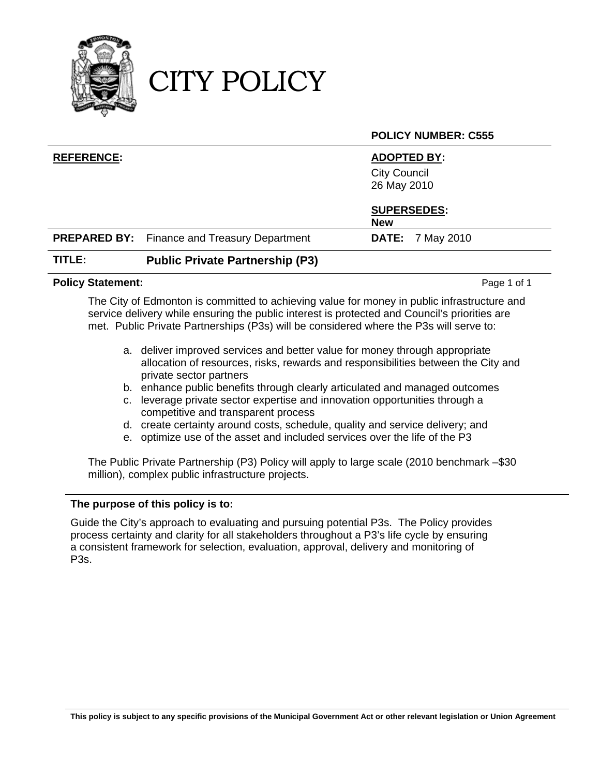

CITY POLICY

### **POLICY NUMBER: C555**

#### **REFERENCE: ADOPTED BY:**

City Council 26 May 2010

### **SUPERSEDES:**

**New** 

**PREPARED BY:** Finance and Treasury Department **DATE:** 7 May 2010

### **TITLE: Public Private Partnership (P3)**

#### **Policy Statement: Policy Statement: Provide the Statement of 1** and 2000 **Page 1 of 1** and 2000 **Page 1 of 1**

The City of Edmonton is committed to achieving value for money in public infrastructure and service delivery while ensuring the public interest is protected and Council's priorities are met. Public Private Partnerships (P3s) will be considered where the P3s will serve to:

- a. deliver improved services and better value for money through appropriate allocation of resources, risks, rewards and responsibilities between the City and private sector partners
- b. enhance public benefits through clearly articulated and managed outcomes
- c. leverage private sector expertise and innovation opportunities through a competitive and transparent process
- d. create certainty around costs, schedule, quality and service delivery; and
- e. optimize use of the asset and included services over the life of the P3

The Public Private Partnership (P3) Policy will apply to large scale (2010 benchmark –\$30 million), complex public infrastructure projects.

#### **The purpose of this policy is to:**

Guide the City's approach to evaluating and pursuing potential P3s. The Policy provides process certainty and clarity for all stakeholders throughout a P3's life cycle by ensuring a consistent framework for selection, evaluation, approval, delivery and monitoring of P3s.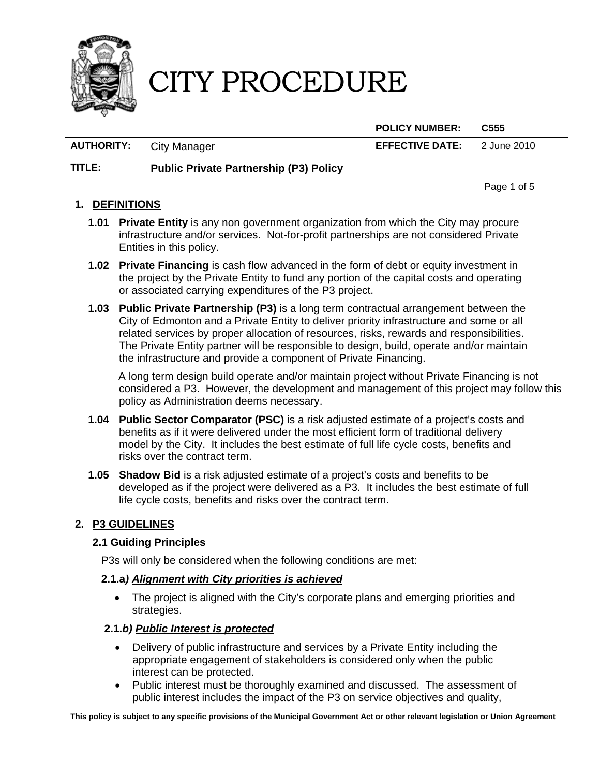

**POLICY NUMBER: C555** 

**AUTHORITY:** City Manager **EFFECTIVE DATE:** 2 June 2010

### **TITLE: Public Private Partnership (P3) Policy**

### **1. DEFINITIONS**

- **1.01 Private Entity** is any non government organization from which the City may procure infrastructure and/or services. Not-for-profit partnerships are not considered Private Entities in this policy.
- **1.02 Private Financing** is cash flow advanced in the form of debt or equity investment in the project by the Private Entity to fund any portion of the capital costs and operating or associated carrying expenditures of the P3 project.
- **1.03 Public Private Partnership (P3)** is a long term contractual arrangement between the City of Edmonton and a Private Entity to deliver priority infrastructure and some or all related services by proper allocation of resources, risks, rewards and responsibilities. The Private Entity partner will be responsible to design, build, operate and/or maintain the infrastructure and provide a component of Private Financing.

A long term design build operate and/or maintain project without Private Financing is not considered a P3. However, the development and management of this project may follow this policy as Administration deems necessary.

- **1.04 Public Sector Comparator (PSC)** is a risk adjusted estimate of a project's costs and benefits as if it were delivered under the most efficient form of traditional delivery model by the City. It includes the best estimate of full life cycle costs, benefits and risks over the contract term.
- **1.05 Shadow Bid** is a risk adjusted estimate of a project's costs and benefits to be developed as if the project were delivered as a P3. It includes the best estimate of full life cycle costs, benefits and risks over the contract term.

### **2. P3 GUIDELINES**

### **2.1 Guiding Principles**

P3s will only be considered when the following conditions are met:

#### **2.1.a***) Alignment with City priorities is achieved*

 The project is aligned with the City's corporate plans and emerging priorities and strategies.

### **2.1.***b) Public Interest is protected*

- Delivery of public infrastructure and services by a Private Entity including the appropriate engagement of stakeholders is considered only when the public interest can be protected.
- Public interest must be thoroughly examined and discussed. The assessment of public interest includes the impact of the P3 on service objectives and quality,

Page 1 of 5  $^{\circ}$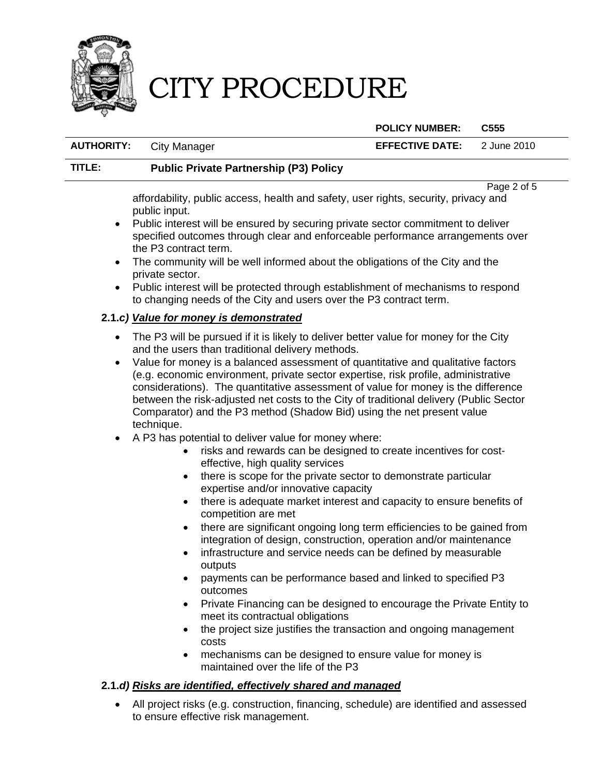

**POLICY NUMBER: C555** 

| <b>AUTHORITY:</b> | <b>City Manager</b> | <b>EFFECTIVE DATE:</b> | 2 June 2010 |
|-------------------|---------------------|------------------------|-------------|
|                   |                     |                        |             |

### **TITLE: Public Private Partnership (P3) Policy**

Page 2 of 5  $\sim$  Page 2 of 5  $\sim$ 

affordability, public access, health and safety, user rights, security, privacy and public input.

- Public interest will be ensured by securing private sector commitment to deliver specified outcomes through clear and enforceable performance arrangements over the P3 contract term.
- The community will be well informed about the obligations of the City and the private sector.
- Public interest will be protected through establishment of mechanisms to respond to changing needs of the City and users over the P3 contract term.

### **2.1.***c) Value for money is demonstrated*

- The P3 will be pursued if it is likely to deliver better value for money for the City and the users than traditional delivery methods.
- Value for money is a balanced assessment of quantitative and qualitative factors (e.g. economic environment, private sector expertise, risk profile, administrative considerations). The quantitative assessment of value for money is the difference between the risk-adjusted net costs to the City of traditional delivery (Public Sector Comparator) and the P3 method (Shadow Bid) using the net present value technique.
- A P3 has potential to deliver value for money where:
	- risks and rewards can be designed to create incentives for costeffective, high quality services
	- there is scope for the private sector to demonstrate particular expertise and/or innovative capacity
	- there is adequate market interest and capacity to ensure benefits of competition are met
	- there are significant ongoing long term efficiencies to be gained from integration of design, construction, operation and/or maintenance
	- infrastructure and service needs can be defined by measurable outputs
	- payments can be performance based and linked to specified P3 outcomes
	- Private Financing can be designed to encourage the Private Entity to meet its contractual obligations
	- the project size justifies the transaction and ongoing management costs
	- mechanisms can be designed to ensure value for money is maintained over the life of the P3

### **2.1.***d) Risks are identified, effectively shared and managed*

 All project risks (e.g. construction, financing, schedule) are identified and assessed to ensure effective risk management.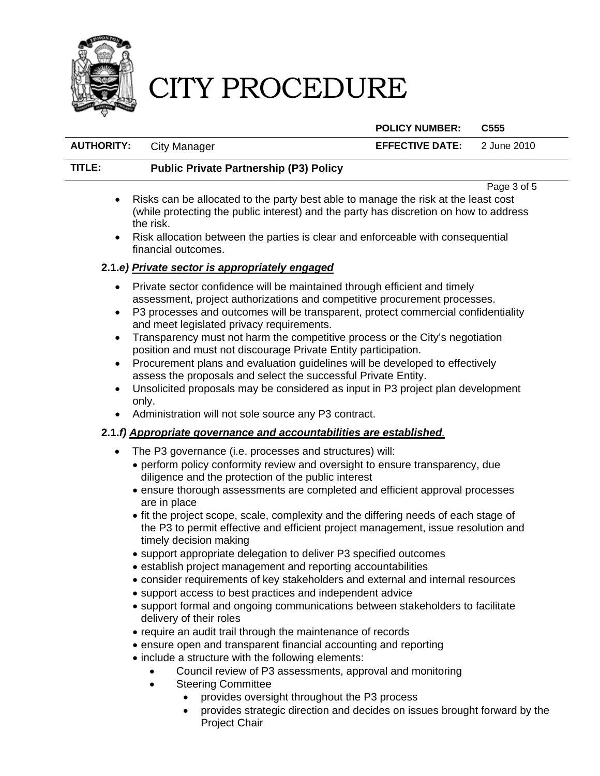

**POLICY NUMBER: C555** 

**AUTHORITY:** City Manager **EFFECTIVE DATE:** 2 June 2010

### **TITLE: Public Private Partnership (P3) Policy**

Page 3 of 5  $^{\circ}$ 

- Risks can be allocated to the party best able to manage the risk at the least cost (while protecting the public interest) and the party has discretion on how to address the risk.
- Risk allocation between the parties is clear and enforceable with consequential financial outcomes.

### **2.1.***e) Private sector is appropriately engaged*

- Private sector confidence will be maintained through efficient and timely assessment, project authorizations and competitive procurement processes.
- P3 processes and outcomes will be transparent, protect commercial confidentiality and meet legislated privacy requirements.
- Transparency must not harm the competitive process or the City's negotiation position and must not discourage Private Entity participation.
- Procurement plans and evaluation guidelines will be developed to effectively assess the proposals and select the successful Private Entity.
- Unsolicited proposals may be considered as input in P3 project plan development only.
- Administration will not sole source any P3 contract.

### **2.1.***f) Appropriate governance and accountabilities are established.*

- The P3 governance (i.e. processes and structures) will:
	- perform policy conformity review and oversight to ensure transparency, due diligence and the protection of the public interest
	- ensure thorough assessments are completed and efficient approval processes are in place
	- fit the project scope, scale, complexity and the differing needs of each stage of the P3 to permit effective and efficient project management, issue resolution and timely decision making
	- support appropriate delegation to deliver P3 specified outcomes
	- establish project management and reporting accountabilities
	- consider requirements of key stakeholders and external and internal resources
	- support access to best practices and independent advice
	- support formal and ongoing communications between stakeholders to facilitate delivery of their roles
	- require an audit trail through the maintenance of records
	- ensure open and transparent financial accounting and reporting
	- include a structure with the following elements:
		- Council review of P3 assessments, approval and monitoring
		- Steering Committee
			- provides oversight throughout the P3 process
			- provides strategic direction and decides on issues brought forward by the Project Chair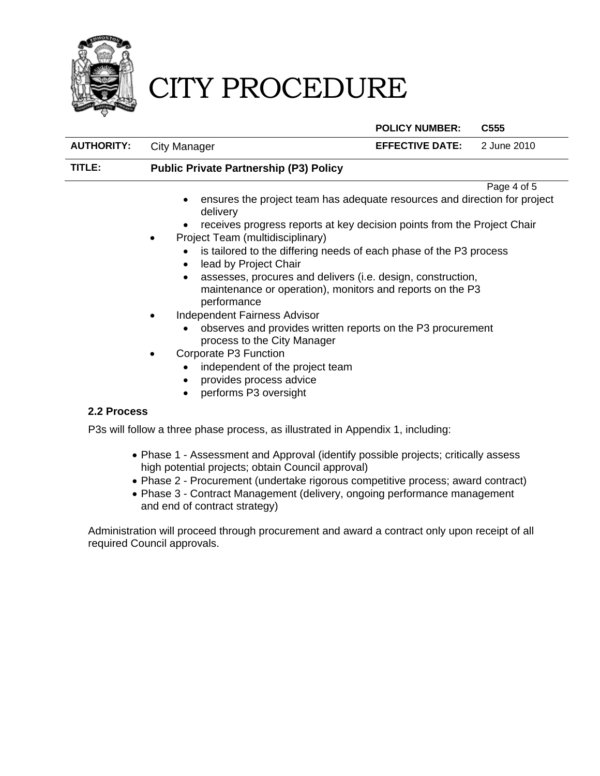

**POLICY NUMBER: C555** 

**AUTHORITY:** City Manager **EFFECTIVE DATE:** 2 June 2010 **TITLE: Public Private Partnership (P3) Policy**  Page 4 of 5 ensures the project team has adequate resources and direction for project

- delivery
- receives progress reports at key decision points from the Project Chair
- Project Team (multidisciplinary)
	- is tailored to the differing needs of each phase of the P3 process
	- lead by Project Chair
	- assesses, procures and delivers (i.e. design, construction, maintenance or operation), monitors and reports on the P3 performance
- Independent Fairness Advisor
	- observes and provides written reports on the P3 procurement process to the City Manager
	- Corporate P3 Function
		- independent of the project team
		- provides process advice
		- performs P3 oversight

### **2.2 Process**

P3s will follow a three phase process, as illustrated in Appendix 1, including:

- Phase 1 Assessment and Approval (identify possible projects; critically assess high potential projects; obtain Council approval)
- Phase 2 Procurement (undertake rigorous competitive process; award contract)
- Phase 3 Contract Management (delivery, ongoing performance management and end of contract strategy)

Administration will proceed through procurement and award a contract only upon receipt of all required Council approvals.